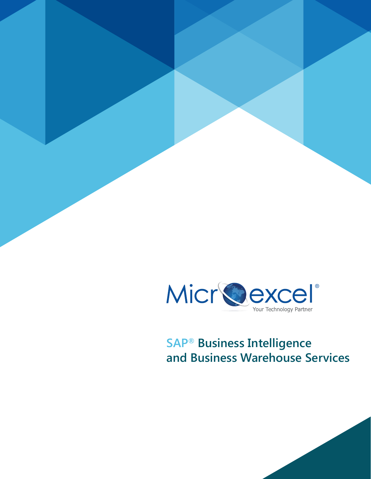

# **SAP® Business Intelligence and Business Warehouse Services**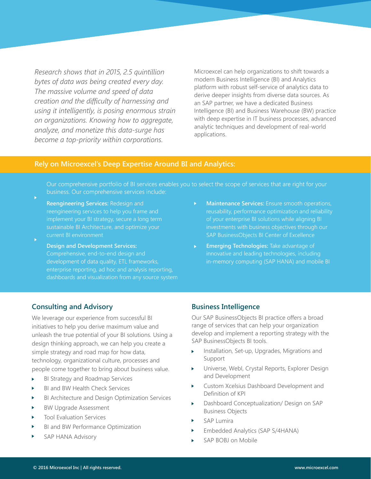*Research shows that in 2015, 2.5 quintillion bytes of data was being created every day. The massive volume and speed of data creation and the difficulty of harnessing and using it intelligently, is posing enormous strain on organizations. Knowing how to aggregate, analyze, and monetize this data-surge has become a top-priority within corporations.*

Microexcel can help organizations to shift towards a modern Business Intelligence (BI) and Analytics platform with robust self-service of analytics data to derive deeper insights from diverse data sources. As an SAP partner, we have a dedicated Business Intelligence (BI) and Business Warehouse (BW) practice with deep expertise in IT business processes, advanced analytic techniques and development of real-world applications.

# **Rely on Microexcel's Deep Expertise Around BI and Analytics:**

Our comprehensive portfolio of BI services enables you to select the scope of services that are right for your business. Our comprehensive services include:

- **Reengineering Services:** Redesign and implement your BI strategy, secure a long term sustainable BI Architecture, and optimize your current BI environment
- **Design and Development Services:**  Comprehensive, end-to-end design and development of data quality, ETL frameworks, enterprise reporting, ad hoc and analysis reporting, dashboards and visualization from any source system
- **Maintenance Services:** Ensure smooth operations, of your enterprise BI solutions while aligning BI investments with business objectives through our SAP BusinessObjects BI Center of Excellence
- **Emerging Technologies:** Take advantage of innovative and leading technologies, including in-memory computing (SAP HANA) and mobile BI

# **Consulting and Advisory**

We leverage our experience from successful BI initiatives to help you derive maximum value and unleash the true potential of your BI solutions. Using a design thinking approach, we can help you create a simple strategy and road map for how data, technology, organizational culture, processes and people come together to bring about business value.

- BI Strategy and Roadmap Services
- BI and BW Health Check Services
- BI Architecture and Design Optimization Services
- BW Upgrade Assessment
- Tool Evaluation Services
- BI and BW Performance Optimization
- SAP HANA Advisory

## **Business Intelligence**

Our SAP BusinessObjects BI practice offers a broad range of services that can help your organization develop and implement a reporting strategy with the SAP BusinessObjects BI tools.

- Installation, Set-up, Upgrades, Migrations and Support
- Universe, WebI, Crystal Reports, Explorer Design and Development
- Custom Xcelsius Dashboard Development and Definition of KPI
- Dashboard Conceptualization/ Design on SAP Business Objects
- SAP Lumira
- Embedded Analytics (SAP S/4HANA)
- SAP BOBJ on Mobile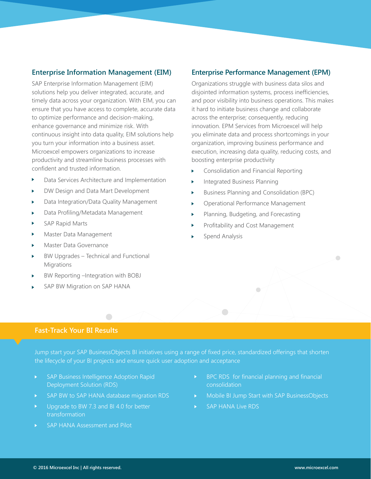# **Enterprise Information Management (EIM)**

SAP Enterprise Information Management (EIM) solutions help you deliver integrated, accurate, and timely data across your organization. With EIM, you can ensure that you have access to complete, accurate data to optimize performance and decision-making, enhance governance and minimize risk. With continuous insight into data quality, EIM solutions help you turn your information into a business asset. Microexcel empowers organizations to increase productivity and streamline business processes with confident and trusted information.

- ĥ. Data Services Architecture and Implementation
- DW Design and Data Mart Development
- Data Integration/Data Quality Management ь
- Data Profiling/Metadata Management
- SAP Rapid Marts
- Master Data Management
- Master Data Governance
- BW Upgrades Technical and Functional **Migrations**
- BW Reporting –Integration with BOBJ
- SAP BW Migration on SAP HANA

# **Enterprise Performance Management (EPM)**

Organizations struggle with business data silos and disjointed information systems, process inefficiencies, and poor visibility into business operations. This makes it hard to initiate business change and collaborate across the enterprise; consequently, reducing innovation. EPM Services from Microexcel will help you eliminate data and process shortcomings in your organization, improving business performance and execution, increasing data quality, reducing costs, and boosting enterprise productivity

- Consolidation and Financial Reporting
- Integrated Business Planning
- Business Planning and Consolidation (BPC) ь
- Operational Performance Management ь
- Planning, Budgeting, and Forecasting ь
- Profitability and Cost Management
- Spend Analysis

# **Fast-Track Your BI Results**

Jump start your SAP BusinessObjects BI initiatives using a range of fixed price, standardized offerings that shorten the lifecycle of your BI projects and ensure quick user adoption and acceptance

- SAP Business Intelligence Adoption Rapid Deployment Solution (RDS)
- SAP BW to SAP HANA database migration RDS Ы

 $\Box$ 

- Upgrade to BW 7.3 and BI 4.0 for better transformation
- SAP HANA Assessment and Pilot

BPC RDS for financial planning and financial consolidation

 $\bigcirc$ 

- Mobile BI Jump Start with SAP BusinessObjects
- SAP HANA Live RDS  $\mathbf{K}^{\prime}$

 $\Box$